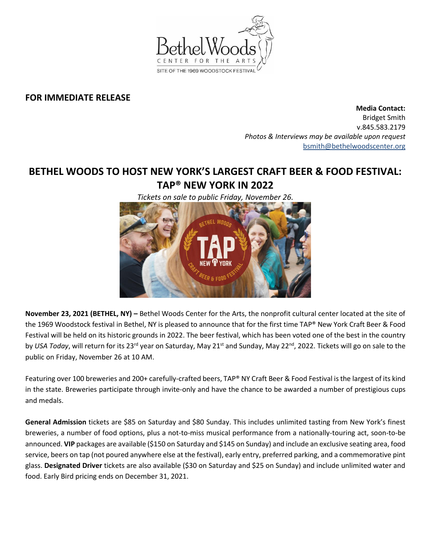

# **FOR IMMEDIATE RELEASE**

**Media Contact:**  Bridget Smith v.845.583.2179 *Photos & Interviews may be available upon request* [bsmith@bethelwoodscenter.org](mailto:bsmith@bethelwoodscenter.org)

# **BETHEL WOODS TO HOST NEW YORK'S LARGEST CRAFT BEER & FOOD FESTIVAL: TAP® NEW YORK IN 2022**

*Tickets on sale to public Friday, November 26.*



**November 23, 2021 (BETHEL, NY) –** Bethel Woods Center for the Arts, the nonprofit cultural center located at the site of the 1969 Woodstock festival in Bethel, NY is pleased to announce that for the first time TAP® New York Craft Beer & Food Festival will be held on its historic grounds in 2022. The beer festival, which has been voted one of the best in the country by *USA Today*, will return for its 23<sup>rd</sup> year on Saturday, May 21<sup>st</sup> and Sunday, May 22<sup>nd</sup>, 2022. Tickets will go on sale to the public on Friday, November 26 at 10 AM.

Featuring over 100 breweries and 200+ carefully-crafted beers, TAP® NY Craft Beer & Food Festival is the largest of its kind in the state. Breweries participate through invite-only and have the chance to be awarded a number of prestigious cups and medals.

**General Admission** tickets are \$85 on Saturday and \$80 Sunday. This includes unlimited tasting from New York's finest breweries, a number of food options, plus a not-to-miss musical performance from a nationally-touring act, soon-to-be announced. **VIP** packages are available (\$150 on Saturday and \$145 on Sunday) and include an exclusive seating area, food service, beers on tap (not poured anywhere else at the festival), early entry, preferred parking, and a commemorative pint glass. **Designated Driver** tickets are also available (\$30 on Saturday and \$25 on Sunday) and include unlimited water and food. Early Bird pricing ends on December 31, 2021.